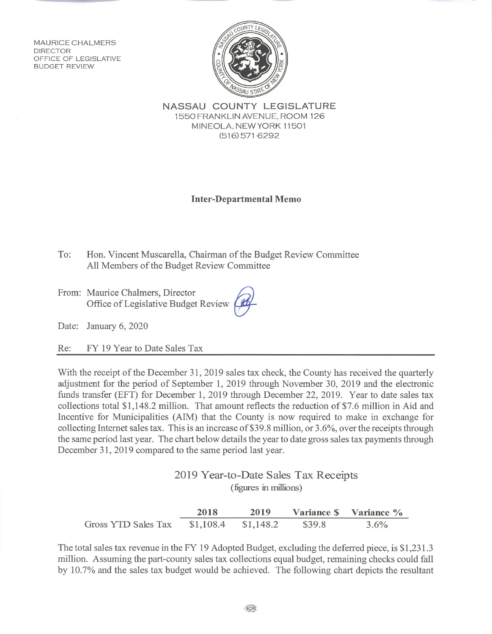**MAURICE CHALMERS DIRECTOR** OFFICE OF LEGISLATIVE **BUDGET REVIEW** 



NASSAU COUNTY LEGISLATURE 1550 FRANKLIN AVENUE, ROOM 126 MINEOLA. NEW YORK 11501  $(516)$  571-6292

## **Inter-Departmental Memo**

- To: Hon. Vincent Muscarella, Chairman of the Budget Review Committee All Members of the Budget Review Committee
- From: Maurice Chalmers, Director Office of Legislative Budget Review

Date: January 6, 2020

FY 19 Year to Date Sales Tax Re:

With the receipt of the December 31, 2019 sales tax check, the County has received the quarterly adjustment for the period of September 1, 2019 through November 30, 2019 and the electronic funds transfer (EFT) for December 1, 2019 through December 22, 2019. Year to date sales tax collections total \$1,148.2 million. That amount reflects the reduction of \$7.6 million in Aid and Incentive for Municipalities (AIM) that the County is now required to make in exchange for collecting Internet sales tax. This is an increase of \$39.8 million, or 3.6%, over the receipts through the same period last year. The chart below details the year to date gross sales tax payments through December 31, 2019 compared to the same period last year.

> 2019 Year-to-Date Sales Tax Receipts (figures in millions)

2018 2019 Variance \$ Variance % Gross YTD Sales Tax \$1,108.4  $$1,148.2$ \$39.8 3.6%

The total sales tax revenue in the FY 19 Adopted Budget, excluding the deferred piece, is \$1,231.3 million. Assuming the part-county sales tax collections equal budget, remaining checks could fall by 10.7% and the sales tax budget would be achieved. The following chart depicts the resultant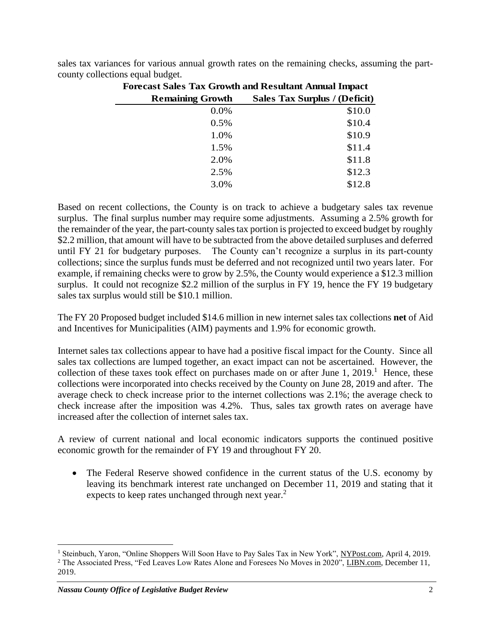| <b>Forecast Sales Tax Growth and Resultant Annual Impact</b> |                               |
|--------------------------------------------------------------|-------------------------------|
| <b>Remaining Growth</b>                                      | Sales Tax Surplus / (Deficit) |
| 0.0%                                                         | \$10.0                        |
| 0.5%                                                         | \$10.4                        |
| 1.0%                                                         | \$10.9                        |
| 1.5%                                                         | \$11.4                        |
| 2.0%                                                         | \$11.8                        |
| 2.5%                                                         | \$12.3                        |
| 3.0%                                                         | \$12.8                        |

sales tax variances for various annual growth rates on the remaining checks, assuming the partcounty collections equal budget.

Based on recent collections, the County is on track to achieve a budgetary sales tax revenue surplus. The final surplus number may require some adjustments. Assuming a 2.5% growth for the remainder of the year, the part-county sales tax portion is projected to exceed budget by roughly \$2.2 million, that amount will have to be subtracted from the above detailed surpluses and deferred until FY 21 for budgetary purposes. The County can't recognize a surplus in its part-county collections; since the surplus funds must be deferred and not recognized until two years later. For example, if remaining checks were to grow by 2.5%, the County would experience a \$12.3 million surplus. It could not recognize \$2.2 million of the surplus in FY 19, hence the FY 19 budgetary sales tax surplus would still be \$10.1 million.

The FY 20 Proposed budget included \$14.6 million in new internet sales tax collections **net** of Aid and Incentives for Municipalities (AIM) payments and 1.9% for economic growth.

Internet sales tax collections appear to have had a positive fiscal impact for the County. Since all sales tax collections are lumped together, an exact impact can not be ascertained. However, the collection of these taxes took effect on purchases made on or after June  $1, 2019$ .<sup>1</sup> Hence, these collections were incorporated into checks received by the County on June 28, 2019 and after. The average check to check increase prior to the internet collections was 2.1%; the average check to check increase after the imposition was 4.2%. Thus, sales tax growth rates on average have increased after the collection of internet sales tax.

A review of current national and local economic indicators supports the continued positive economic growth for the remainder of FY 19 and throughout FY 20.

• The Federal Reserve showed confidence in the current status of the U.S. economy by leaving its benchmark interest rate unchanged on December 11, 2019 and stating that it expects to keep rates unchanged through next year.<sup>2</sup>

<sup>&</sup>lt;sup>1</sup> Steinbuch, Yaron, "Online Shoppers Will Soon Have to Pay Sales Tax in New York", NYPost.com, April 4, 2019.

<sup>&</sup>lt;sup>2</sup> The Associated Press, "Fed Leaves Low Rates Alone and Foresees No Moves in 2020", LIBN.com, December 11, 2019.